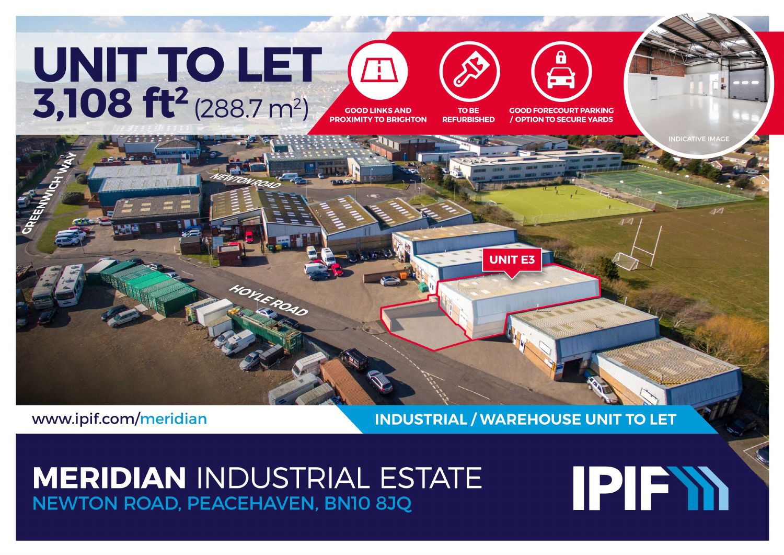# UNIT TO LET<br>3,108 ft<sup>2</sup> (288.7 m<sup>2</sup>) **PROXIMITY TO BRIGHTON**





**/ OPTION TO SECURE YARDS** 

www.ipif.com/meridian

**INDUSTRIAL / WAREHOUSE UNIT TO LET** 

**UNIT E3** 

## **MERIDIAN INDUSTRIAL ESTATE NEWTON ROAD, PEACEHAVEN, BNIO 8JQ**

HOYLEROAD

# **IPIEYA**

**NDICATIVE IMAC**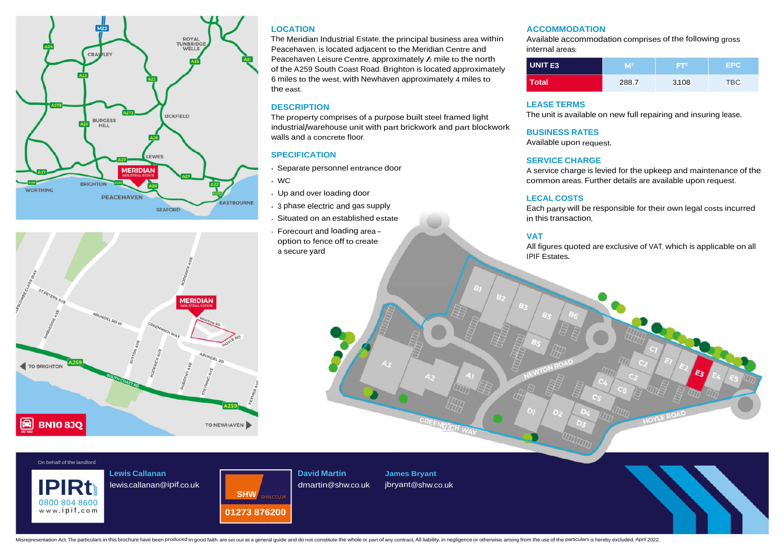

### **LOCATION**

The Meridian Industrial Estate, the principal business area within Peacehaven, is located adjacent to the Meridian Centre and Peacehaven Leisure Centre, approximately  $\lambda$  mile to the north of the A259 South Coast Road. Brighton is located approximately 6 miles to the west, with Newhaven approximately 4 miles to the east.

The property comprises of a purpose built steel framed light industrial/warehouse unit with part brickwork and part blockwork walls and a concrete floor.

### **SPECIFICATION SERVICE CHARGE**

- Separate personnel entrance door
- WC
- Up and over loading door
- 3 phase electric and gas supply
- Situated on an established estate
- Forecourt and loading area option to fence off to create a secure yard

#### **ACCOMMODATION**

Available accommodation comprises of the following gross internal areas:

| <b>UNIT E3</b> |       | ЕF    | EPC.       |
|----------------|-------|-------|------------|
| <b>Total</b>   | 288.7 | 3.108 | <b>TBC</b> |

#### **DESCRIPTION LEASE TERMS**

The unit is available on new full repairing and insuring lease.

#### **BUSINESS RATES**

Available upon request.

A service charge is levied for the upkeep and maintenance of the common areas. Further details are available upon request.

#### **LECAL COSTS**

Each party will be responsible for their own legal costs incurred in this transaction.

#### **VAT**

All figures quoted are exclusive of VAT, which is applicable on all IPIF Estates.

On behalf of the landlord

**BN10 83Q** 

TO BRIGHTON

0800 804 8600<br>www.ipif.com

**Lewis Callanan** lewis.callanan@ipif.co.uk

**MEDIDIAN** 



TO NEWHAVEN

**David Martin** dmartin@shw.co.uk

I

**James Bryant**

**!22***CH*

Misrepresentation Act: The particulars in this brochure have been produced in good faith. are set out as a general quide and do not constitute the whole or part of any contract. All liability, in negligence or otherwise, a